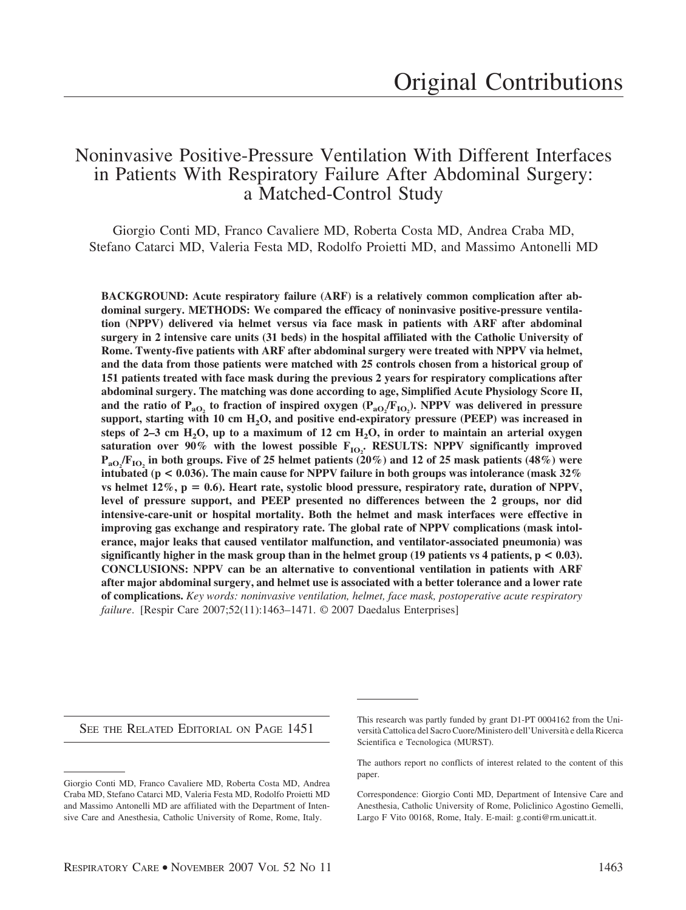# Noninvasive Positive-Pressure Ventilation With Different Interfaces in Patients With Respiratory Failure After Abdominal Surgery: a Matched-Control Study

Giorgio Conti MD, Franco Cavaliere MD, Roberta Costa MD, Andrea Craba MD, Stefano Catarci MD, Valeria Festa MD, Rodolfo Proietti MD, and Massimo Antonelli MD

**BACKGROUND: Acute respiratory failure (ARF) is a relatively common complication after abdominal surgery. METHODS: We compared the efficacy of noninvasive positive-pressure ventilation (NPPV) delivered via helmet versus via face mask in patients with ARF after abdominal surgery in 2 intensive care units (31 beds) in the hospital affiliated with the Catholic University of Rome. Twenty-five patients with ARF after abdominal surgery were treated with NPPV via helmet, and the data from those patients were matched with 25 controls chosen from a historical group of 151 patients treated with face mask during the previous 2 years for respiratory complications after abdominal surgery. The matching was done according to age, Simplified Acute Physiology Score II,** and the ratio of  $P_{aO_2}$  to fraction of inspired oxygen  $(P_{aO_2}/F_{IO_2})$ . NPPV was delivered in pressure support, starting with 10 cm H<sub>2</sub>O, and positive end-expiratory pressure (PEEP) was increased in steps of 2–3 cm  $H_2O$ , up to a maximum of 12 cm  $H_2O$ , in order to maintain an arterial oxygen  ${\bf s}$  saturation over  $90\%$  with the lowest possible  ${\bf F_{IO_2}}$ . RESULTS: NPPV significantly improved **PaO2 /FIO2 in both groups. Five of 25 helmet patients (20%) and 12 of 25 mask patients (48%) were intubated (p < 0.036). The main cause for NPPV failure in both groups was intolerance (mask 32%** vs helmet  $12\%$ ,  $p = 0.6$ ). Heart rate, systolic blood pressure, respiratory rate, duration of NPPV, **level of pressure support, and PEEP presented no differences between the 2 groups, nor did intensive-care-unit or hospital mortality. Both the helmet and mask interfaces were effective in improving gas exchange and respiratory rate. The global rate of NPPV complications (mask intolerance, major leaks that caused ventilator malfunction, and ventilator-associated pneumonia) was significantly higher in the mask group than in the helmet group (19 patients vs 4 patients,**  $p < 0.03$ **). CONCLUSIONS: NPPV can be an alternative to conventional ventilation in patients with ARF after major abdominal surgery, and helmet use is associated with a better tolerance and a lower rate of complications.** *Key words: noninvasive ventilation, helmet, face mask, postoperative acute respiratory failure*. [Respir Care 2007;52(11):1463–1471. © 2007 Daedalus Enterprises]

SEE THE RELATED EDITORIAL ON PAGE 1451

This research was partly funded by grant D1-PT 0004162 from the Universita` Cattolica del Sacro Cuore/Ministero dell'Universita` e della Ricerca Scientifica e Tecnologica (MURST).

The authors report no conflicts of interest related to the content of this paper.

Correspondence: Giorgio Conti MD, Department of Intensive Care and Anesthesia, Catholic University of Rome, Policlinico Agostino Gemelli, Largo F Vito 00168, Rome, Italy. E-mail: g.conti@rm.unicatt.it.

Giorgio Conti MD, Franco Cavaliere MD, Roberta Costa MD, Andrea Craba MD, Stefano Catarci MD, Valeria Festa MD, Rodolfo Proietti MD and Massimo Antonelli MD are affiliated with the Department of Intensive Care and Anesthesia, Catholic University of Rome, Rome, Italy.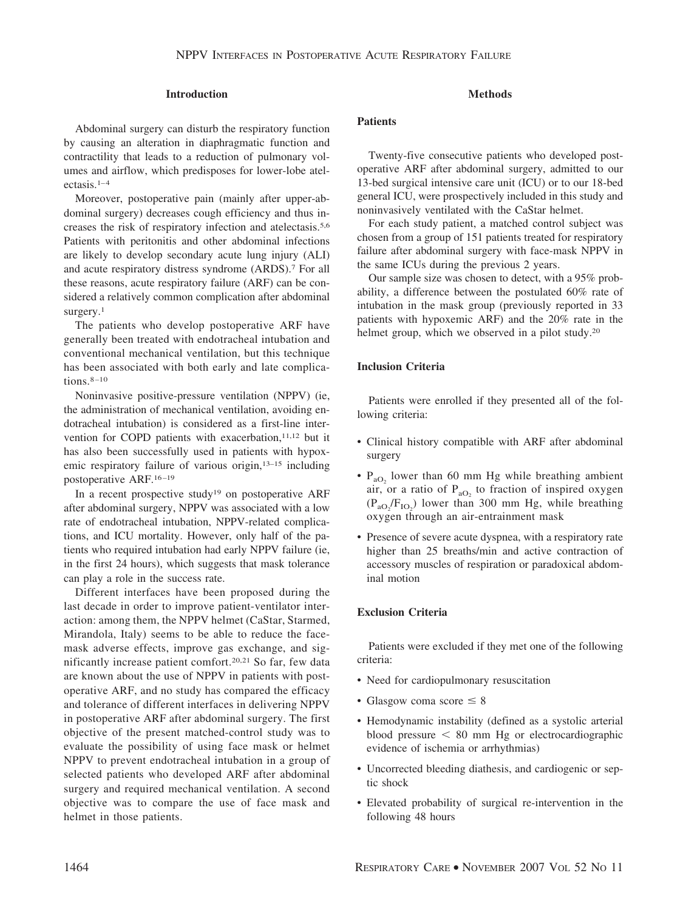## **Introduction**

Abdominal surgery can disturb the respiratory function by causing an alteration in diaphragmatic function and contractility that leads to a reduction of pulmonary volumes and airflow, which predisposes for lower-lobe atelectasis. $1-4$ 

Moreover, postoperative pain (mainly after upper-abdominal surgery) decreases cough efficiency and thus increases the risk of respiratory infection and atelectasis.5,6 Patients with peritonitis and other abdominal infections are likely to develop secondary acute lung injury (ALI) and acute respiratory distress syndrome (ARDS).7 For all these reasons, acute respiratory failure (ARF) can be considered a relatively common complication after abdominal surgery.<sup>1</sup>

The patients who develop postoperative ARF have generally been treated with endotracheal intubation and conventional mechanical ventilation, but this technique has been associated with both early and late complications.<sup>8-10</sup>

Noninvasive positive-pressure ventilation (NPPV) (ie, the administration of mechanical ventilation, avoiding endotracheal intubation) is considered as a first-line intervention for COPD patients with exacerbation,<sup>11,12</sup> but it has also been successfully used in patients with hypoxemic respiratory failure of various origin,13–15 including postoperative ARF.<sup>16-19</sup>

In a recent prospective study<sup>19</sup> on postoperative ARF after abdominal surgery, NPPV was associated with a low rate of endotracheal intubation, NPPV-related complications, and ICU mortality. However, only half of the patients who required intubation had early NPPV failure (ie, in the first 24 hours), which suggests that mask tolerance can play a role in the success rate.

Different interfaces have been proposed during the last decade in order to improve patient-ventilator interaction: among them, the NPPV helmet (CaStar, Starmed, Mirandola, Italy) seems to be able to reduce the facemask adverse effects, improve gas exchange, and significantly increase patient comfort.20,21 So far, few data are known about the use of NPPV in patients with postoperative ARF, and no study has compared the efficacy and tolerance of different interfaces in delivering NPPV in postoperative ARF after abdominal surgery. The first objective of the present matched-control study was to evaluate the possibility of using face mask or helmet NPPV to prevent endotracheal intubation in a group of selected patients who developed ARF after abdominal surgery and required mechanical ventilation. A second objective was to compare the use of face mask and helmet in those patients.

# **Methods**

## **Patients**

Twenty-five consecutive patients who developed postoperative ARF after abdominal surgery, admitted to our 13-bed surgical intensive care unit (ICU) or to our 18-bed general ICU, were prospectively included in this study and noninvasively ventilated with the CaStar helmet.

For each study patient, a matched control subject was chosen from a group of 151 patients treated for respiratory failure after abdominal surgery with face-mask NPPV in the same ICUs during the previous 2 years.

Our sample size was chosen to detect, with a 95% probability, a difference between the postulated 60% rate of intubation in the mask group (previously reported in 33 patients with hypoxemic ARF) and the 20% rate in the helmet group, which we observed in a pilot study.<sup>20</sup>

# **Inclusion Criteria**

Patients were enrolled if they presented all of the following criteria:

- Clinical history compatible with ARF after abdominal surgery
- $P_{aO_2}$  lower than 60 mm Hg while breathing ambient air, or a ratio of  $P_{aO_2}$  to fraction of inspired oxygen  $(P_{aO_2}/F_{IO_2})$  lower than 300 mm Hg, while breathing oxygen through an air-entrainment mask
- Presence of severe acute dyspnea, with a respiratory rate higher than 25 breaths/min and active contraction of accessory muscles of respiration or paradoxical abdominal motion

# **Exclusion Criteria**

Patients were excluded if they met one of the following criteria:

- Need for cardiopulmonary resuscitation
- Glasgow coma score  $\leq 8$
- Hemodynamic instability (defined as a systolic arterial blood pressure  $\leq 80$  mm Hg or electrocardiographic evidence of ischemia or arrhythmias)
- Uncorrected bleeding diathesis, and cardiogenic or septic shock
- Elevated probability of surgical re-intervention in the following 48 hours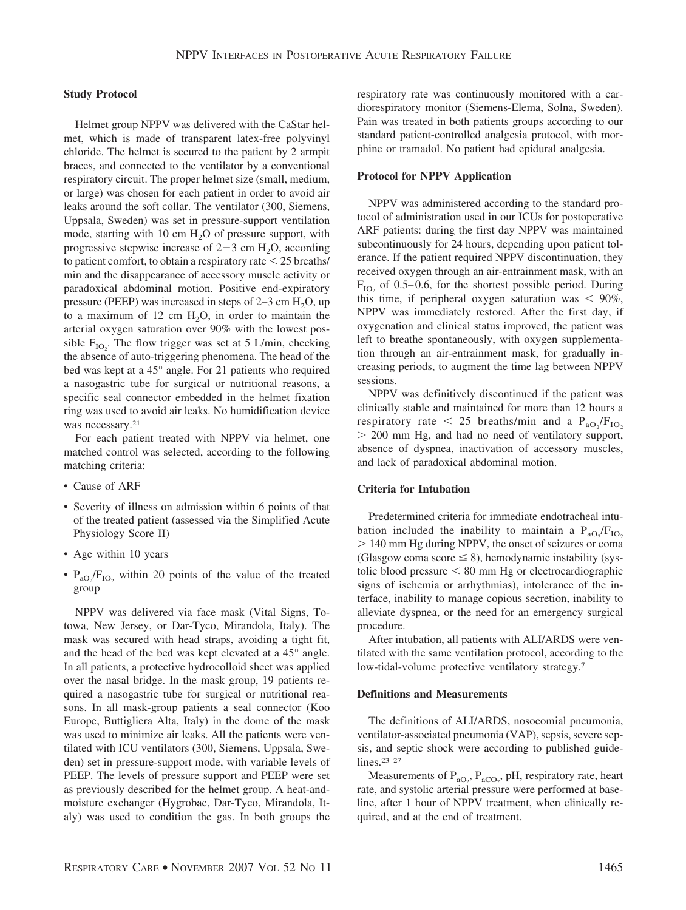## **Study Protocol**

Helmet group NPPV was delivered with the CaStar helmet, which is made of transparent latex-free polyvinyl chloride. The helmet is secured to the patient by 2 armpit braces, and connected to the ventilator by a conventional respiratory circuit. The proper helmet size (small, medium, or large) was chosen for each patient in order to avoid air leaks around the soft collar. The ventilator (300, Siemens, Uppsala, Sweden) was set in pressure-support ventilation mode, starting with 10 cm  $H_2O$  of pressure support, with progressive stepwise increase of  $2-3$  cm  $H_2O$ , according to patient comfort, to obtain a respiratory rate  $\leq$  25 breaths/ min and the disappearance of accessory muscle activity or paradoxical abdominal motion. Positive end-expiratory pressure (PEEP) was increased in steps of 2–3 cm  $H_2O$ , up to a maximum of 12 cm  $H<sub>2</sub>O$ , in order to maintain the arterial oxygen saturation over 90% with the lowest possible  $F_{IO_2}$ . The flow trigger was set at 5 L/min, checking the absence of auto-triggering phenomena. The head of the bed was kept at a 45° angle. For 21 patients who required a nasogastric tube for surgical or nutritional reasons, a specific seal connector embedded in the helmet fixation ring was used to avoid air leaks. No humidification device was necessary.<sup>21</sup>

For each patient treated with NPPV via helmet, one matched control was selected, according to the following matching criteria:

- Cause of ARF
- Severity of illness on admission within 6 points of that of the treated patient (assessed via the Simplified Acute Physiology Score II)
- Age within 10 years
- $P_{aO_2}/F_{IO_2}$  within 20 points of the value of the treated group

NPPV was delivered via face mask (Vital Signs, Totowa, New Jersey, or Dar-Tyco, Mirandola, Italy). The mask was secured with head straps, avoiding a tight fit, and the head of the bed was kept elevated at a 45° angle. In all patients, a protective hydrocolloid sheet was applied over the nasal bridge. In the mask group, 19 patients required a nasogastric tube for surgical or nutritional reasons. In all mask-group patients a seal connector (Koo Europe, Buttigliera Alta, Italy) in the dome of the mask was used to minimize air leaks. All the patients were ventilated with ICU ventilators (300, Siemens, Uppsala, Sweden) set in pressure-support mode, with variable levels of PEEP. The levels of pressure support and PEEP were set as previously described for the helmet group. A heat-andmoisture exchanger (Hygrobac, Dar-Tyco, Mirandola, Italy) was used to condition the gas. In both groups the

respiratory rate was continuously monitored with a cardiorespiratory monitor (Siemens-Elema, Solna, Sweden). Pain was treated in both patients groups according to our standard patient-controlled analgesia protocol, with morphine or tramadol. No patient had epidural analgesia.

#### **Protocol for NPPV Application**

NPPV was administered according to the standard protocol of administration used in our ICUs for postoperative ARF patients: during the first day NPPV was maintained subcontinuously for 24 hours, depending upon patient tolerance. If the patient required NPPV discontinuation, they received oxygen through an air-entrainment mask, with an  $F_{\text{IO}_2}$  of 0.5–0.6, for the shortest possible period. During this time, if peripheral oxygen saturation was  $\leq 90\%$ , NPPV was immediately restored. After the first day, if oxygenation and clinical status improved, the patient was left to breathe spontaneously, with oxygen supplementation through an air-entrainment mask, for gradually increasing periods, to augment the time lag between NPPV sessions.

NPPV was definitively discontinued if the patient was clinically stable and maintained for more than 12 hours a respiratory rate  $\langle 25 \text{ breaths/min} \text{ and a } \text{P}_{a\text{O}_2}/\text{F}_{\text{IO}_2} \rangle$  200 mm Hg, and had no need of ventilatory support, absence of dyspnea, inactivation of accessory muscles, and lack of paradoxical abdominal motion.

## **Criteria for Intubation**

Predetermined criteria for immediate endotracheal intubation included the inability to maintain a  $P_{aO_2}/F_{IO_2}$  140 mm Hg during NPPV, the onset of seizures or coma (Glasgow coma score  $\leq$  8), hemodynamic instability (systolic blood pressure  $< 80$  mm Hg or electrocardiographic signs of ischemia or arrhythmias), intolerance of the interface, inability to manage copious secretion, inability to alleviate dyspnea, or the need for an emergency surgical procedure.

After intubation, all patients with ALI/ARDS were ventilated with the same ventilation protocol, according to the low-tidal-volume protective ventilatory strategy.7

## **Definitions and Measurements**

The definitions of ALI/ARDS, nosocomial pneumonia, ventilator-associated pneumonia (VAP), sepsis, severe sepsis, and septic shock were according to published guidelines.23–27

Measurements of  $P_{aO_2}$ ,  $P_{aCO_2}$ , pH, respiratory rate, heart rate, and systolic arterial pressure were performed at baseline, after 1 hour of NPPV treatment, when clinically required, and at the end of treatment.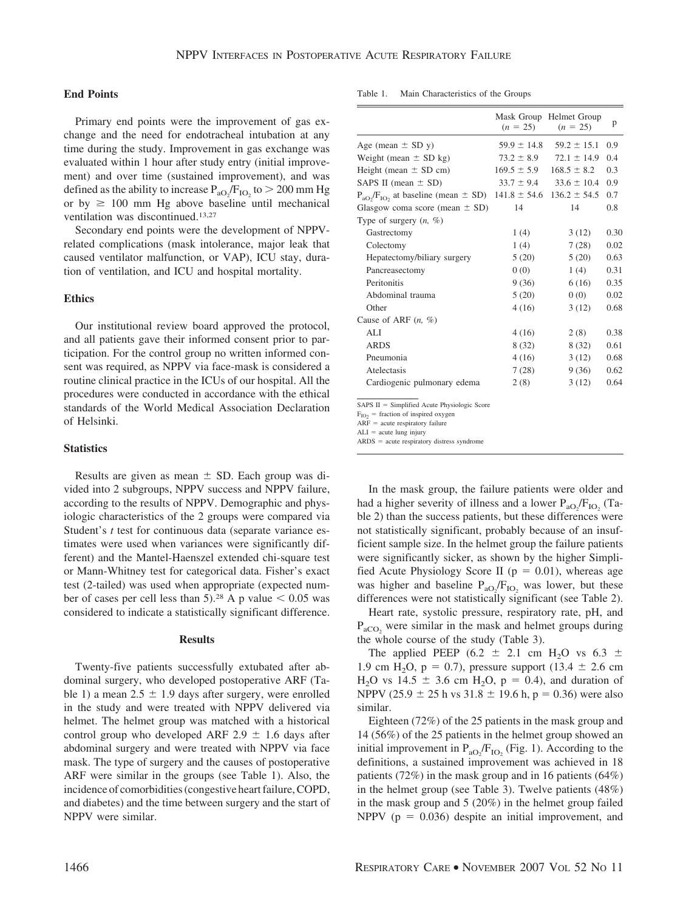## **End Points**

Primary end points were the improvement of gas exchange and the need for endotracheal intubation at any time during the study. Improvement in gas exchange was evaluated within 1 hour after study entry (initial improvement) and over time (sustained improvement), and was defined as the ability to increase  $P_{aO_2}/F_{IO_2}$  to  $> 200$  mm Hg or by  $\geq$  100 mm Hg above baseline until mechanical ventilation was discontinued.13,27

Secondary end points were the development of NPPVrelated complications (mask intolerance, major leak that caused ventilator malfunction, or VAP), ICU stay, duration of ventilation, and ICU and hospital mortality.

### **Ethics**

Our institutional review board approved the protocol, and all patients gave their informed consent prior to participation. For the control group no written informed consent was required, as NPPV via face-mask is considered a routine clinical practice in the ICUs of our hospital. All the procedures were conducted in accordance with the ethical standards of the World Medical Association Declaration of Helsinki.

#### **Statistics**

Results are given as mean  $\pm$  SD. Each group was divided into 2 subgroups, NPPV success and NPPV failure, according to the results of NPPV. Demographic and physiologic characteristics of the 2 groups were compared via Student's *t* test for continuous data (separate variance estimates were used when variances were significantly different) and the Mantel-Haenszel extended chi-square test or Mann-Whitney test for categorical data. Fisher's exact test (2-tailed) was used when appropriate (expected number of cases per cell less than 5).<sup>28</sup> A p value  $\leq 0.05$  was considered to indicate a statistically significant difference.

#### **Results**

Twenty-five patients successfully extubated after abdominal surgery, who developed postoperative ARF (Table 1) a mean  $2.5 \pm 1.9$  days after surgery, were enrolled in the study and were treated with NPPV delivered via helmet. The helmet group was matched with a historical control group who developed ARF 2.9  $\pm$  1.6 days after abdominal surgery and were treated with NPPV via face mask. The type of surgery and the causes of postoperative ARF were similar in the groups (see Table 1). Also, the incidence of comorbidities (congestive heart failure, COPD, and diabetes) and the time between surgery and the start of NPPV were similar.

|                                                                                 | $(n = 25)$      | Mask Group Helmet Group<br>$(n = 25)$ | p    |
|---------------------------------------------------------------------------------|-----------------|---------------------------------------|------|
| Age (mean $\pm$ SD y)                                                           | $59.9 \pm 14.8$ | $59.2 \pm 15.1$                       | 0.9  |
| Weight (mean $\pm$ SD kg)                                                       | $73.2 \pm 8.9$  | $72.1 \pm 14.9$                       | 0.4  |
| Height (mean $\pm$ SD cm)                                                       | $169.5 \pm 5.9$ | $168.5 \pm 8.2$                       | 0.3  |
| SAPS II (mean $\pm$ SD)                                                         | $33.7 \pm 9.4$  | $33.6 \pm 10.4$                       | 0.9  |
| $P_{aOy}/F_{IOy}$ at baseline (mean $\pm$ SD) 141.8 $\pm$ 54.6 136.2 $\pm$ 54.5 |                 |                                       | 0.7  |
| Glasgow coma score (mean $\pm$ SD)                                              | 14              | 14                                    | 0.8  |
| Type of surgery $(n, \%)$                                                       |                 |                                       |      |
| Gastrectomy                                                                     | 1(4)            | 3(12)                                 | 0.30 |
| Colectomy                                                                       | 1(4)            | 7(28)                                 | 0.02 |
| Hepatectomy/biliary surgery                                                     | 5(20)           | 5(20)                                 | 0.63 |
| Pancreasectomy                                                                  | 0(0)            | 1(4)                                  | 0.31 |
| Peritonitis                                                                     | 9(36)           | 6(16)                                 | 0.35 |
| Abdominal trauma                                                                | 5(20)           | 0(0)                                  | 0.02 |
| Other                                                                           | 4(16)           | 3(12)                                 | 0.68 |
| Cause of ARF $(n, \%)$                                                          |                 |                                       |      |
| ALI.                                                                            | 4(16)           | 2(8)                                  | 0.38 |
| <b>ARDS</b>                                                                     | 8(32)           | 8 (32)                                | 0.61 |
| Pneumonia                                                                       | 4(16)           | 3(12)                                 | 0.68 |
| Atelectasis                                                                     | 7(28)           | 9(36)                                 | 0.62 |
| Cardiogenic pulmonary edema                                                     | 2(8)            | 3(12)                                 | 0.64 |
|                                                                                 |                 |                                       |      |

Table 1. Main Characteristics of the Groups

 $SAPS II = Simplified Acute Physiologic Score$ 

 $F_{IO2}$  = fraction of inspired oxygen

 $ARF = acute$  respiratory failure

 $ALI = acute lung injury$ 

 $ARDS = acute$  respiratory distress syndrome

In the mask group, the failure patients were older and had a higher severity of illness and a lower  $P_{aO_2}/F_{IO_2}$  (Table 2) than the success patients, but these differences were not statistically significant, probably because of an insufficient sample size. In the helmet group the failure patients were significantly sicker, as shown by the higher Simplified Acute Physiology Score II ( $p = 0.01$ ), whereas age was higher and baseline  $P_{aO_2}/F_{IO_2}$  was lower, but these differences were not statistically significant (see Table 2).

Heart rate, systolic pressure, respiratory rate, pH, and  $P_{\text{aCO}_2}$  were similar in the mask and helmet groups during the whole course of the study (Table 3).

The applied PEEP (6.2  $\pm$  2.1 cm H<sub>2</sub>O vs 6.3  $\pm$ 1.9 cm H<sub>2</sub>O, p = 0.7), pressure support (13.4  $\pm$  2.6 cm  $H_2O$  vs 14.5  $\pm$  3.6 cm  $H_2O$ , p = 0.4), and duration of NPPV (25.9  $\pm$  25 h vs 31.8  $\pm$  19.6 h, p = 0.36) were also similar.

Eighteen (72%) of the 25 patients in the mask group and 14 (56%) of the 25 patients in the helmet group showed an initial improvement in  $P_{aO_2}/F_{IO_2}$  (Fig. 1). According to the definitions, a sustained improvement was achieved in 18 patients (72%) in the mask group and in 16 patients (64%) in the helmet group (see Table 3). Twelve patients (48%) in the mask group and 5 (20%) in the helmet group failed NPPV ( $p = 0.036$ ) despite an initial improvement, and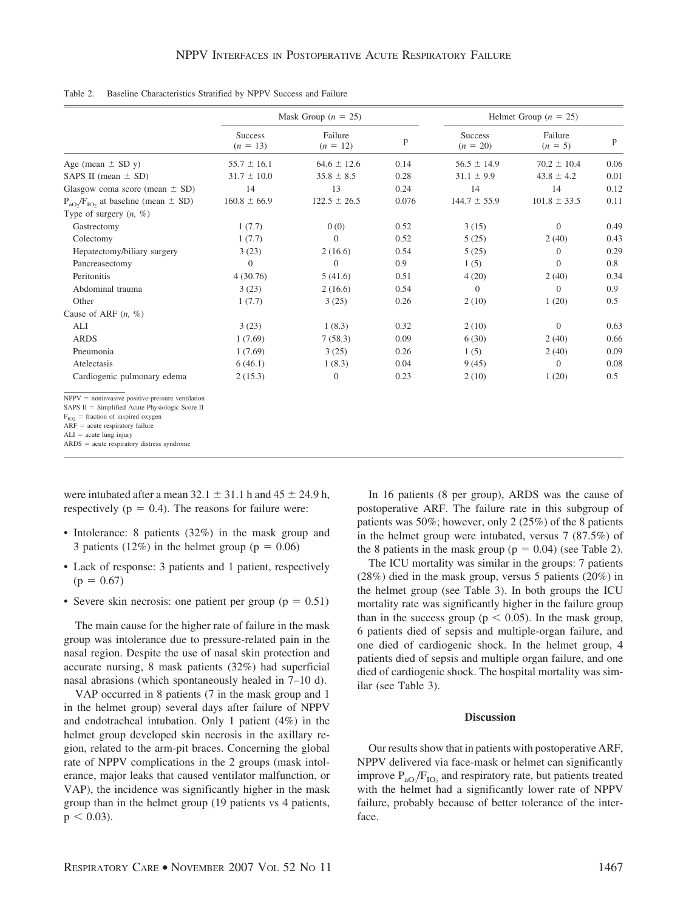|                                                                                                                                                                                         |                              | Mask Group ( $n = 25$ ) |       |                              | Helmet Group ( $n = 25$ ) |      |  |
|-----------------------------------------------------------------------------------------------------------------------------------------------------------------------------------------|------------------------------|-------------------------|-------|------------------------------|---------------------------|------|--|
|                                                                                                                                                                                         | <b>Success</b><br>$(n = 13)$ | Failure<br>$(n = 12)$   | p     | <b>Success</b><br>$(n = 20)$ | Failure<br>$(n = 5)$      | p    |  |
| Age (mean $\pm$ SD y)                                                                                                                                                                   | $55.7 \pm 16.1$              | $64.6 \pm 12.6$         | 0.14  | $56.5 \pm 14.9$              | $70.2 \pm 10.4$           | 0.06 |  |
| SAPS II (mean $\pm$ SD)                                                                                                                                                                 | $31.7 \pm 10.0$              | $35.8 \pm 8.5$          | 0.28  | $31.1 \pm 9.9$               | $43.8 \pm 4.2$            | 0.01 |  |
| Glasgow coma score (mean $\pm$ SD)                                                                                                                                                      | 14                           | 13                      | 0.24  | 14                           | 14                        | 0.12 |  |
| $P_{aO_2}/F_{IO_2}$ at baseline (mean $\pm$ SD)                                                                                                                                         | $160.8 \pm 66.9$             | $122.5 \pm 26.5$        | 0.076 | $144.7 \pm 55.9$             | $101.8 \pm 33.5$          | 0.11 |  |
| Type of surgery $(n, \%)$                                                                                                                                                               |                              |                         |       |                              |                           |      |  |
| Gastrectomy                                                                                                                                                                             | 1(7.7)                       | 0(0)                    | 0.52  | 3(15)                        | $\Omega$                  | 0.49 |  |
| Colectomy                                                                                                                                                                               | 1(7.7)                       | $\overline{0}$          | 0.52  | 5(25)                        | 2(40)                     | 0.43 |  |
| Hepatectomy/biliary surgery                                                                                                                                                             | 3(23)                        | 2(16.6)                 | 0.54  | 5(25)                        | $\theta$                  | 0.29 |  |
| Pancreasectomy                                                                                                                                                                          | $\Omega$                     | $\overline{0}$          | 0.9   | 1(5)                         | $\Omega$                  | 0.8  |  |
| Peritonitis                                                                                                                                                                             | 4(30.76)                     | 5(41.6)                 | 0.51  | 4(20)                        | 2(40)                     | 0.34 |  |
| Abdominal trauma                                                                                                                                                                        | 3(23)                        | 2(16.6)                 | 0.54  | $\overline{0}$               | $\Omega$                  | 0.9  |  |
| Other                                                                                                                                                                                   | 1(7.7)                       | 3(25)                   | 0.26  | 2(10)                        | 1(20)                     | 0.5  |  |
| Cause of ARF $(n, \%)$                                                                                                                                                                  |                              |                         |       |                              |                           |      |  |
| ALI                                                                                                                                                                                     | 3(23)                        | 1(8.3)                  | 0.32  | 2(10)                        | $\Omega$                  | 0.63 |  |
| <b>ARDS</b>                                                                                                                                                                             | 1(7.69)                      | 7(58.3)                 | 0.09  | 6(30)                        | 2(40)                     | 0.66 |  |
| Pneumonia                                                                                                                                                                               | 1(7.69)                      | 3(25)                   | 0.26  | 1(5)                         | 2(40)                     | 0.09 |  |
| Atelectasis                                                                                                                                                                             | 6(46.1)                      | 1(8.3)                  | 0.04  | 9(45)                        | $\theta$                  | 0.08 |  |
| Cardiogenic pulmonary edema                                                                                                                                                             | 2(15.3)                      | $\theta$                | 0.23  | 2(10)                        | 1(20)                     | 0.5  |  |
| $NPPV = noninvasive positive-pressure ventilation$<br>SAPS $II =$ Simplified Acute Physiologic Score II<br>$F_{IO2}$ = fraction of inspired oxygen<br>$ARF = acute$ respiratory failure |                              |                         |       |                              |                           |      |  |

Table 2. Baseline Characteristics Stratified by NPPV Success and Failure

 $ARF = acute$  respiratory failure<br> $ALI = acute$  lung injury

 $ARDS = acute$  respiratory distress syndrome

were intubated after a mean  $32.1 \pm 31.1$  h and  $45 \pm 24.9$  h, respectively ( $p = 0.4$ ). The reasons for failure were:

- Intolerance: 8 patients (32%) in the mask group and 3 patients (12%) in the helmet group ( $p = 0.06$ )
- Lack of response: 3 patients and 1 patient, respectively  $(p = 0.67)$
- Severe skin necrosis: one patient per group ( $p = 0.51$ )

The main cause for the higher rate of failure in the mask group was intolerance due to pressure-related pain in the nasal region. Despite the use of nasal skin protection and accurate nursing, 8 mask patients (32%) had superficial nasal abrasions (which spontaneously healed in 7–10 d).

VAP occurred in 8 patients (7 in the mask group and 1 in the helmet group) several days after failure of NPPV and endotracheal intubation. Only 1 patient (4%) in the helmet group developed skin necrosis in the axillary region, related to the arm-pit braces. Concerning the global rate of NPPV complications in the 2 groups (mask intolerance, major leaks that caused ventilator malfunction, or VAP), the incidence was significantly higher in the mask group than in the helmet group (19 patients vs 4 patients,  $p < 0.03$ ).

In 16 patients (8 per group), ARDS was the cause of postoperative ARF. The failure rate in this subgroup of patients was 50%; however, only 2 (25%) of the 8 patients in the helmet group were intubated, versus 7 (87.5%) of the 8 patients in the mask group ( $p = 0.04$ ) (see Table 2).

The ICU mortality was similar in the groups: 7 patients (28%) died in the mask group, versus 5 patients (20%) in the helmet group (see Table 3). In both groups the ICU mortality rate was significantly higher in the failure group than in the success group ( $p < 0.05$ ). In the mask group, 6 patients died of sepsis and multiple-organ failure, and one died of cardiogenic shock. In the helmet group, 4 patients died of sepsis and multiple organ failure, and one died of cardiogenic shock. The hospital mortality was similar (see Table 3).

## **Discussion**

Our results show that in patients with postoperative ARF, NPPV delivered via face-mask or helmet can significantly improve  $P_{aO_2}/F_{IO_2}$  and respiratory rate, but patients treated with the helmet had a significantly lower rate of NPPV failure, probably because of better tolerance of the interface.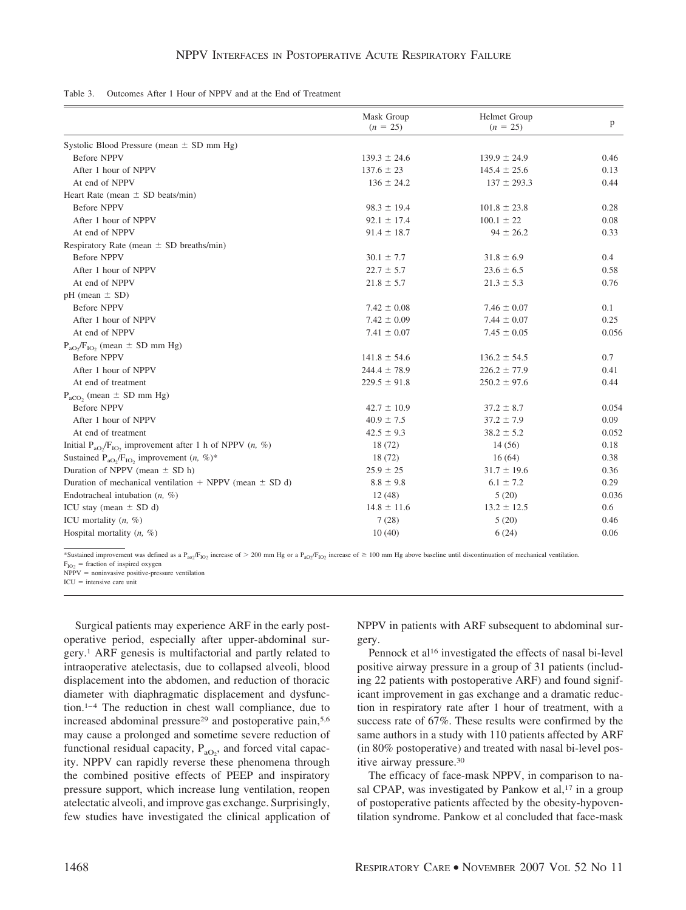| Table 3. Outcomes After 1 Hour of NPPV and at the End of Treatment |  |
|--------------------------------------------------------------------|--|
|--------------------------------------------------------------------|--|

|                                                                                                           | Mask Group<br>$(n = 25)$ | Helmet Group<br>$(n = 25)$ | p     |
|-----------------------------------------------------------------------------------------------------------|--------------------------|----------------------------|-------|
| Systolic Blood Pressure (mean $\pm$ SD mm Hg)                                                             |                          |                            |       |
| <b>Before NPPV</b>                                                                                        | $139.3 \pm 24.6$         | $139.9 \pm 24.9$           | 0.46  |
| After 1 hour of NPPV                                                                                      | $137.6 \pm 23$           | $145.4 \pm 25.6$           | 0.13  |
| At end of NPPV                                                                                            | $136 \pm 24.2$           | $137 \pm 293.3$            | 0.44  |
| Heart Rate (mean $\pm$ SD beats/min)                                                                      |                          |                            |       |
| <b>Before NPPV</b>                                                                                        | $98.3 \pm 19.4$          | $101.8 \pm 23.8$           | 0.28  |
| After 1 hour of NPPV                                                                                      | $92.1 \pm 17.4$          | $100.1 \pm 22$             | 0.08  |
| At end of NPPV                                                                                            | $91.4 \pm 18.7$          | $94 \pm 26.2$              | 0.33  |
| Respiratory Rate (mean $\pm$ SD breaths/min)                                                              |                          |                            |       |
| <b>Before NPPV</b>                                                                                        | $30.1 \pm 7.7$           | $31.8 \pm 6.9$             | 0.4   |
| After 1 hour of NPPV                                                                                      | $22.7 \pm 5.7$           | $23.6 \pm 6.5$             | 0.58  |
| At end of NPPV                                                                                            | $21.8 \pm 5.7$           | $21.3 \pm 5.3$             | 0.76  |
| $pH$ (mean $\pm$ SD)                                                                                      |                          |                            |       |
| <b>Before NPPV</b>                                                                                        | $7.42 \pm 0.08$          | $7.46 \pm 0.07$            | 0.1   |
| After 1 hour of NPPV                                                                                      | $7.42 \pm 0.09$          | $7.44 \pm 0.07$            | 0.25  |
| At end of NPPV                                                                                            | $7.41 \pm 0.07$          | $7.45 \pm 0.05$            | 0.056 |
| $P_{aO_2}/F_{IO_2}$ (mean $\pm$ SD mm Hg)                                                                 |                          |                            |       |
| <b>Before NPPV</b>                                                                                        | $141.8 \pm 54.6$         | $136.2 \pm 54.5$           | 0.7   |
| After 1 hour of NPPV                                                                                      | $244.4 \pm 78.9$         | $226.2 \pm 77.9$           | 0.41  |
| At end of treatment                                                                                       | $229.5 \pm 91.8$         | $250.2 \pm 97.6$           | 0.44  |
| $P_{aCO_2}$ (mean $\pm$ SD mm Hg)                                                                         |                          |                            |       |
| <b>Before NPPV</b>                                                                                        | $42.7 \pm 10.9$          | $37.2 \pm 8.7$             | 0.054 |
| After 1 hour of NPPV                                                                                      | $40.9 \pm 7.5$           | $37.2 \pm 7.9$             | 0.09  |
| At end of treatment                                                                                       | $42.5 \pm 9.3$           | $38.2 \pm 5.2$             | 0.052 |
| Initial P <sub>aO</sub> <sub>2</sub> /F <sub>IO</sub> <sub>2</sub> improvement after 1 h of NPPV $(n, %)$ | 18(72)                   | 14(56)                     | 0.18  |
| Sustained P <sub>aO<sub>2</sub></sub> /F <sub>IO<sub>2</sub></sub> improvement $(n, %)$ <sup>*</sup>      | 18 (72)                  | 16(64)                     | 0.38  |
| Duration of NPPV (mean $\pm$ SD h)                                                                        | $25.9 \pm 25$            | $31.7 \pm 19.6$            | 0.36  |
| Duration of mechanical ventilation $+$ NPPV (mean $\pm$ SD d)                                             | $8.8 \pm 9.8$            | $6.1 \pm 7.2$              | 0.29  |
| Endotracheal intubation $(n, %)$                                                                          | 12(48)                   | 5(20)                      | 0.036 |
| ICU stay (mean $\pm$ SD d)                                                                                | $14.8 \pm 11.6$          | $13.2 \pm 12.5$            | 0.6   |
| ICU mortality $(n, \%)$                                                                                   | 7(28)                    | 5(20)                      | 0.46  |
| Hospital mortality $(n, \%)$                                                                              | 10(40)                   | 6(24)                      | 0.06  |

\*Sustained improvement was defined as a P<sub>ao2</sub>/F<sub>lO2</sub> increase of > 200 mm Hg or a P<sub>aO2</sub>/F<sub>lO2</sub> increase of > 100 mm Hg above baseline until discontinuation of mechanical ventilation.  $F_{IO2}$  = fraction of inspired oxygen

 $NPPV = noninvasive positive-pressure ventilation$  $ICU =$  intensive care unit

Surgical patients may experience ARF in the early postoperative period, especially after upper-abdominal surgery.1 ARF genesis is multifactorial and partly related to intraoperative atelectasis, due to collapsed alveoli, blood displacement into the abdomen, and reduction of thoracic diameter with diaphragmatic displacement and dysfunction.<sup>1-4</sup> The reduction in chest wall compliance, due to increased abdominal pressure<sup>29</sup> and postoperative pain,<sup>5,6</sup> may cause a prolonged and sometime severe reduction of functional residual capacity,  $P_{aO_2}$ , and forced vital capacity. NPPV can rapidly reverse these phenomena through the combined positive effects of PEEP and inspiratory pressure support, which increase lung ventilation, reopen atelectatic alveoli, and improve gas exchange. Surprisingly, few studies have investigated the clinical application of NPPV in patients with ARF subsequent to abdominal surgery.

Pennock et al<sup>16</sup> investigated the effects of nasal bi-level positive airway pressure in a group of 31 patients (including 22 patients with postoperative ARF) and found significant improvement in gas exchange and a dramatic reduction in respiratory rate after 1 hour of treatment, with a success rate of 67%. These results were confirmed by the same authors in a study with 110 patients affected by ARF (in 80% postoperative) and treated with nasal bi-level positive airway pressure.30

The efficacy of face-mask NPPV, in comparison to nasal CPAP, was investigated by Pankow et al,<sup>17</sup> in a group of postoperative patients affected by the obesity-hypoventilation syndrome. Pankow et al concluded that face-mask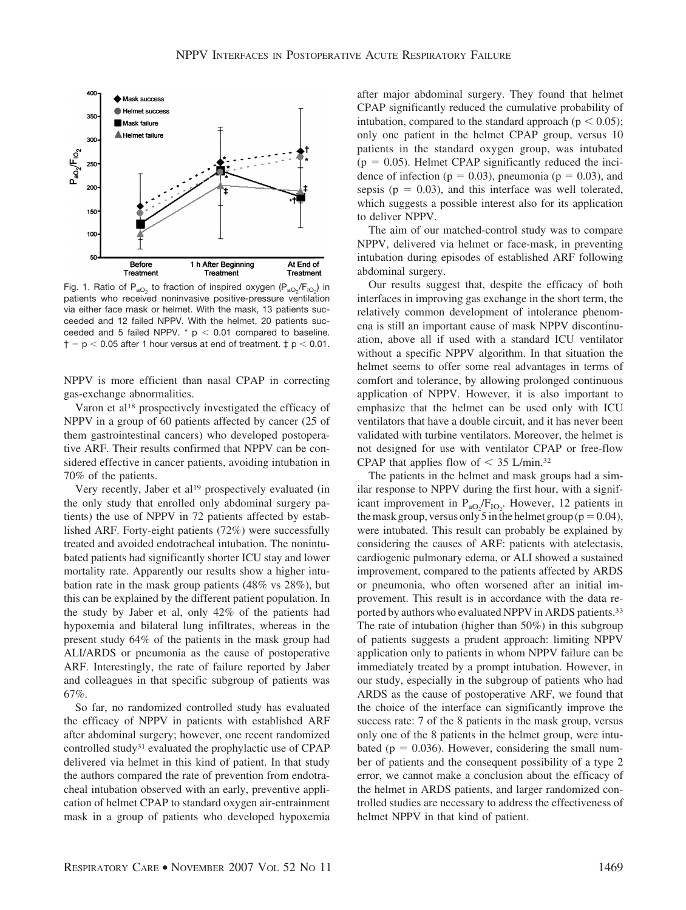

Fig. 1. Ratio of  $P_{aO_2}$  to fraction of inspired oxygen  $(P_{aO_2}/F_{IO_2})$  in patients who received noninvasive positive-pressure ventilation via either face mask or helmet. With the mask, 13 patients succeeded and 12 failed NPPV. With the helmet, 20 patients succeeded and 5 failed NPPV.  $*$  p < 0.01 compared to baseline.  $\dagger$  = p < 0.05 after 1 hour versus at end of treatment.  $\ddagger$  p < 0.01.

NPPV is more efficient than nasal CPAP in correcting gas-exchange abnormalities.

Varon et al18 prospectively investigated the efficacy of NPPV in a group of 60 patients affected by cancer (25 of them gastrointestinal cancers) who developed postoperative ARF. Their results confirmed that NPPV can be considered effective in cancer patients, avoiding intubation in 70% of the patients.

Very recently, Jaber et al<sup>19</sup> prospectively evaluated (in the only study that enrolled only abdominal surgery patients) the use of NPPV in 72 patients affected by established ARF. Forty-eight patients (72%) were successfully treated and avoided endotracheal intubation. The nonintubated patients had significantly shorter ICU stay and lower mortality rate. Apparently our results show a higher intubation rate in the mask group patients (48% vs 28%), but this can be explained by the different patient population. In the study by Jaber et al, only 42% of the patients had hypoxemia and bilateral lung infiltrates, whereas in the present study 64% of the patients in the mask group had ALI/ARDS or pneumonia as the cause of postoperative ARF. Interestingly, the rate of failure reported by Jaber and colleagues in that specific subgroup of patients was 67%.

So far, no randomized controlled study has evaluated the efficacy of NPPV in patients with established ARF after abdominal surgery; however, one recent randomized controlled study31 evaluated the prophylactic use of CPAP delivered via helmet in this kind of patient. In that study the authors compared the rate of prevention from endotracheal intubation observed with an early, preventive application of helmet CPAP to standard oxygen air-entrainment mask in a group of patients who developed hypoxemia after major abdominal surgery. They found that helmet CPAP significantly reduced the cumulative probability of intubation, compared to the standard approach ( $p < 0.05$ ); only one patient in the helmet CPAP group, versus 10 patients in the standard oxygen group, was intubated  $(p = 0.05)$ . Helmet CPAP significantly reduced the incidence of infection ( $p = 0.03$ ), pneumonia ( $p = 0.03$ ), and sepsis ( $p = 0.03$ ), and this interface was well tolerated, which suggests a possible interest also for its application to deliver NPPV.

The aim of our matched-control study was to compare NPPV, delivered via helmet or face-mask, in preventing intubation during episodes of established ARF following abdominal surgery.

Our results suggest that, despite the efficacy of both interfaces in improving gas exchange in the short term, the relatively common development of intolerance phenomena is still an important cause of mask NPPV discontinuation, above all if used with a standard ICU ventilator without a specific NPPV algorithm. In that situation the helmet seems to offer some real advantages in terms of comfort and tolerance, by allowing prolonged continuous application of NPPV. However, it is also important to emphasize that the helmet can be used only with ICU ventilators that have a double circuit, and it has never been validated with turbine ventilators. Moreover, the helmet is not designed for use with ventilator CPAP or free-flow CPAP that applies flow of  $<$  35 L/min.<sup>32</sup>

The patients in the helmet and mask groups had a similar response to NPPV during the first hour, with a significant improvement in  $P_{aO_2}/F_{IO_2}$ . However, 12 patients in the mask group, versus only 5 in the helmet group ( $p=0.04$ ), were intubated. This result can probably be explained by considering the causes of ARF: patients with atelectasis, cardiogenic pulmonary edema, or ALI showed a sustained improvement, compared to the patients affected by ARDS or pneumonia, who often worsened after an initial improvement. This result is in accordance with the data reported by authors who evaluated NPPV in ARDS patients.<sup>33</sup> The rate of intubation (higher than 50%) in this subgroup of patients suggests a prudent approach: limiting NPPV application only to patients in whom NPPV failure can be immediately treated by a prompt intubation. However, in our study, especially in the subgroup of patients who had ARDS as the cause of postoperative ARF, we found that the choice of the interface can significantly improve the success rate: 7 of the 8 patients in the mask group, versus only one of the 8 patients in the helmet group, were intubated ( $p = 0.036$ ). However, considering the small number of patients and the consequent possibility of a type 2 error, we cannot make a conclusion about the efficacy of the helmet in ARDS patients, and larger randomized controlled studies are necessary to address the effectiveness of helmet NPPV in that kind of patient.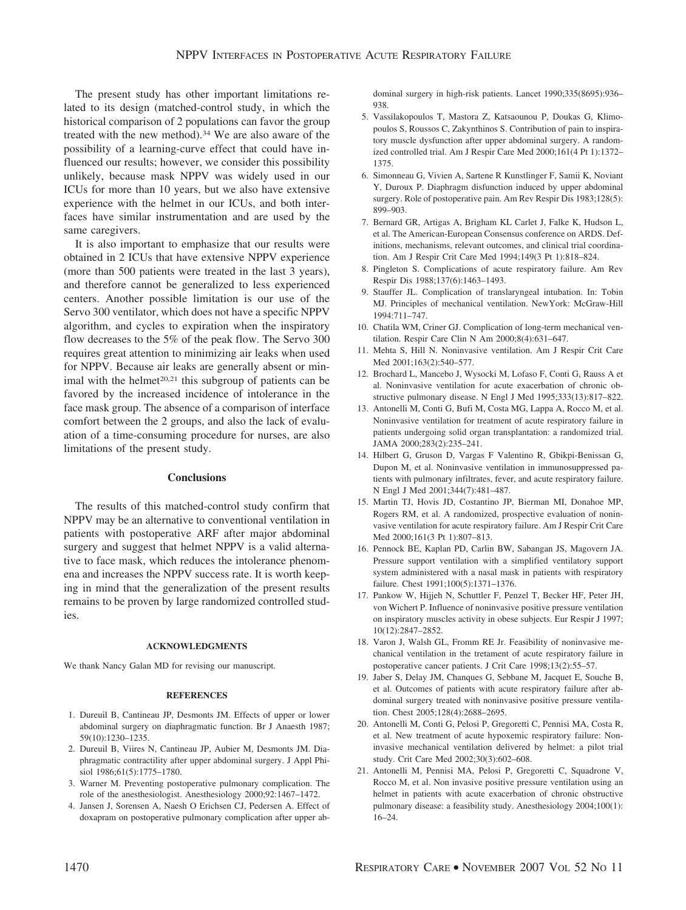The present study has other important limitations related to its design (matched-control study, in which the historical comparison of 2 populations can favor the group treated with the new method).<sup>34</sup> We are also aware of the possibility of a learning-curve effect that could have influenced our results; however, we consider this possibility unlikely, because mask NPPV was widely used in our ICUs for more than 10 years, but we also have extensive experience with the helmet in our ICUs, and both interfaces have similar instrumentation and are used by the same caregivers.

It is also important to emphasize that our results were obtained in 2 ICUs that have extensive NPPV experience (more than 500 patients were treated in the last 3 years), and therefore cannot be generalized to less experienced centers. Another possible limitation is our use of the Servo 300 ventilator, which does not have a specific NPPV algorithm, and cycles to expiration when the inspiratory flow decreases to the 5% of the peak flow. The Servo 300 requires great attention to minimizing air leaks when used for NPPV. Because air leaks are generally absent or minimal with the helmet<sup>20,21</sup> this subgroup of patients can be favored by the increased incidence of intolerance in the face mask group. The absence of a comparison of interface comfort between the 2 groups, and also the lack of evaluation of a time-consuming procedure for nurses, are also limitations of the present study.

#### **Conclusions**

The results of this matched-control study confirm that NPPV may be an alternative to conventional ventilation in patients with postoperative ARF after major abdominal surgery and suggest that helmet NPPV is a valid alternative to face mask, which reduces the intolerance phenomena and increases the NPPV success rate. It is worth keeping in mind that the generalization of the present results remains to be proven by large randomized controlled studies.

## **ACKNOWLEDGMENTS**

We thank Nancy Galan MD for revising our manuscript.

#### **REFERENCES**

- 1. Dureuil B, Cantineau JP, Desmonts JM. Effects of upper or lower abdominal surgery on diaphragmatic function. Br J Anaesth 1987; 59(10):1230–1235.
- 2. Dureuil B, Viires N, Cantineau JP, Aubier M, Desmonts JM. Diaphragmatic contractility after upper abdominal surgery. J Appl Phisiol 1986;61(5):1775–1780.
- 3. Warner M. Preventing postoperative pulmonary complication. The role of the anesthesiologist. Anesthesiology 2000;92:1467–1472.
- 4. Jansen J, Sorensen A, Naesh O Erichsen CJ, Pedersen A. Effect of doxapram on postoperative pulmonary complication after upper ab-

dominal surgery in high-risk patients. Lancet 1990;335(8695):936– 938.

- 5. Vassilakopoulos T, Mastora Z, Katsaounou P, Doukas G, Klimopoulos S, Roussos C, Zakynthinos S. Contribution of pain to inspiratory muscle dysfunction after upper abdominal surgery. A randomized controlled trial. Am J Respir Care Med 2000;161(4 Pt 1):1372– 1375.
- 6. Simonneau G, Vivien A, Sartene R Kunstlinger F, Samii K, Noviant Y, Duroux P. Diaphragm disfunction induced by upper abdominal surgery. Role of postoperative pain. Am Rev Respir Dis 1983;128(5): 899–903.
- 7. Bernard GR, Artigas A, Brigham KL Carlet J, Falke K, Hudson L, et al. The American-European Consensus conference on ARDS. Definitions, mechanisms, relevant outcomes, and clinical trial coordination. Am J Respir Crit Care Med 1994;149(3 Pt 1):818–824.
- 8. Pingleton S. Complications of acute respiratory failure. Am Rev Respir Dis 1988;137(6):1463–1493.
- 9. Stauffer JL. Complication of translaryngeal intubation. In: Tobin MJ. Principles of mechanical ventilation. NewYork: McGraw-Hill 1994:711–747.
- 10. Chatila WM, Criner GJ. Complication of long-term mechanical ventilation. Respir Care Clin N Am 2000;8(4):631–647.
- 11. Mehta S, Hill N. Noninvasive ventilation. Am J Respir Crit Care Med 2001;163(2):540–577.
- 12. Brochard L, Mancebo J, Wysocki M, Lofaso F, Conti G, Rauss A et al. Noninvasive ventilation for acute exacerbation of chronic obstructive pulmonary disease. N Engl J Med 1995;333(13):817–822.
- 13. Antonelli M, Conti G, Bufi M, Costa MG, Lappa A, Rocco M, et al. Noninvasive ventilation for treatment of acute respiratory failure in patients undergoing solid organ transplantation: a randomized trial. JAMA 2000;283(2):235–241.
- 14. Hilbert G, Gruson D, Vargas F Valentino R, Gbikpi-Benissan G, Dupon M, et al. Noninvasive ventilation in immunosuppressed patients with pulmonary infiltrates, fever, and acute respiratory failure. N Engl J Med 2001;344(7):481–487.
- 15. Martin TJ, Hovis JD, Costantino JP, Bierman MI, Donahoe MP, Rogers RM, et al. A randomized, prospective evaluation of noninvasive ventilation for acute respiratory failure. Am J Respir Crit Care Med 2000;161(3 Pt 1):807–813.
- 16. Pennock BE, Kaplan PD, Carlin BW, Sabangan JS, Magovern JA. Pressure support ventilation with a simplified ventilatory support system administered with a nasal mask in patients with respiratory failure. Chest 1991;100(5):1371–1376.
- 17. Pankow W, Hijjeh N, Schuttler F, Penzel T, Becker HF, Peter JH, von Wichert P. Influence of noninvasive positive pressure ventilation on inspiratory muscles activity in obese subjects. Eur Respir J 1997; 10(12):2847–2852.
- 18. Varon J, Walsh GL, Fromm RE Jr. Feasibility of noninvasive mechanical ventilation in the tretament of acute respiratory failure in postoperative cancer patients. J Crit Care 1998;13(2):55–57.
- 19. Jaber S, Delay JM, Chanques G, Sebbane M, Jacquet E, Souche B, et al. Outcomes of patients with acute respiratory failure after abdominal surgery treated with noninvasive positive pressure ventilation. Chest 2005;128(4):2688–2695.
- 20. Antonelli M, Conti G, Pelosi P, Gregoretti C, Pennisi MA, Costa R, et al. New treatment of acute hypoxemic respiratory failure: Noninvasive mechanical ventilation delivered by helmet: a pilot trial study. Crit Care Med 2002;30(3):602–608.
- 21. Antonelli M, Pennisi MA, Pelosi P, Gregoretti C, Squadrone V, Rocco M, et al. Non invasive positive pressure ventilation using an helmet in patients with acute exacerbation of chronic obstructive pulmonary disease: a feasibility study. Anesthesiology 2004;100(1): 16–24.